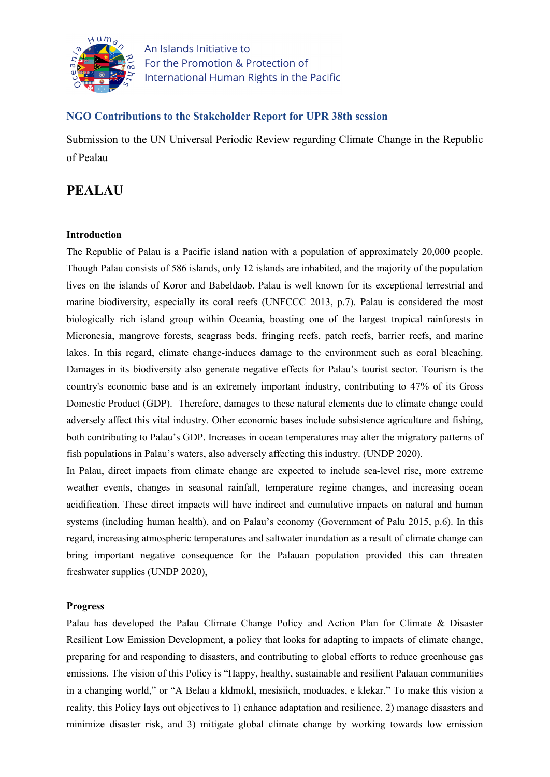

An Islands Initiative to For the Promotion & Protection of International Human Rights in the Pacific

## **NGO Contributions to the Stakeholder Report for UPR 38th session**

Submission to the UN Universal Periodic Review regarding Climate Change in the Republic of Pealau

# **PEALAU**

## **Introduction**

The Republic of Palau is <sup>a</sup> Pacific island nation with <sup>a</sup> population of approximately 20,000 people. Though Palau consists of 586 islands, only 12 islands are inhabited, and the majority of the population lives on the islands of Koror and Babeldaob. Palau is well known for its exceptional terrestrial and marine biodiversity, especially its coral reefs (UNFCCC 2013, p.7). Palau is considered the most biologically rich island group within Oceania, boasting one of the largest tropical rainforests in Micronesia, mangrove forests, seagrass beds, fringing reefs, patch reefs, barrier reefs, and marine lakes. In this regard, climate change-induces damage to the environment such as coral bleaching. Damages in its biodiversity also generate negative effects for Palau'<sup>s</sup> tourist sector. Tourism is the country's economic base and is an extremely important industry, contributing to 47% of its Gross Domestic Product (GDP). Therefore, damages to these natural elements due to climate change could adversely affect this vital industry. Other economic bases include subsistence agriculture and fishing, both contributing to Palau'<sup>s</sup> GDP. Increases in ocean temperatures may alter the migratory patterns of fish populations in Palau'<sup>s</sup> waters, also adversely affecting this industry. (UNDP 2020).

In Palau, direct impacts from climate change are expected to include sea-level rise, more extreme weather events, changes in seasonal rainfall, temperature regime changes, and increasing ocean acidification. These direct impacts will have indirect and cumulative impacts on natural and human systems (including human health), and on Palau'<sup>s</sup> economy (Government of Palu 2015, p.6). In this regard, increasing atmospheric temperatures and saltwater inundation as <sup>a</sup> result of climate change can bring important negative consequence for the Palauan population provided this can threaten freshwater supplies (UNDP 2020),

## **Progress**

Palau has developed the Palau Climate Change Policy and Action Plan for Climate & Disaster Resilient Low Emission Development, <sup>a</sup> policy that looks for adapting to impacts of climate change, preparing for and responding to disasters, and contributing to global efforts to reduce greenhouse gas emissions. The vision of this Policy is "Happy, healthy, sustainable and resilient Palauan communities in <sup>a</sup> changing world," or "A Belau <sup>a</sup> kldmokl, mesisiich, moduades, <sup>e</sup> klekar." To make this vision <sup>a</sup> reality, this Policy lays out objectives to 1) enhance adaptation and resilience, 2) manage disasters and minimize disaster risk, and 3) mitigate global climate change by working towards low emission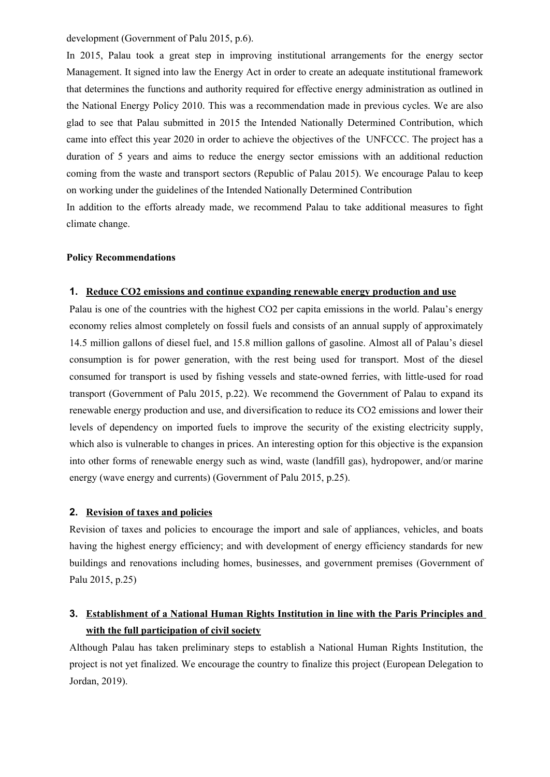development (Government of Palu 2015, p.6).

In 2015, Palau took <sup>a</sup> grea<sup>t</sup> step in improving institutional arrangements for the energy sector Management. It signed into law the Energy Act in order to create an adequate institutional framework that determines the functions and authority required for effective energy administration as outlined in the National Energy Policy 2010. This was <sup>a</sup> recommendation made in previous cycles. We are also glad to see that Palau submitted in 2015 the Intended Nationally Determined Contribution, which came into effect this year 2020 in order to achieve the objectives of the UNFCCC. The project has <sup>a</sup> duration of 5 years and aims to reduce the energy sector emissions with an additional reduction coming from the waste and transport sectors (Republic of Palau 2015). We encourage Palau to keep on working under the guidelines of the Intended Nationally Determined Contribution

In addition to the efforts already made, we recommend Palau to take additional measures to fight climate change.

#### **Policy Recommendations**

#### **1. Reduce CO2 emissions and continue expanding renewable energy production and use**

Palau is one of the countries with the highest CO2 per capita emissions in the world. Palau'<sup>s</sup> energy economy relies almost completely on fossil fuels and consists of an annual supply of approximately 14.5 million gallons of diesel fuel, and 15.8 million gallons of gasoline. Almost all of Palau'<sup>s</sup> diesel consumption is for power generation, with the rest being used for transport. Most of the diesel consumed for transport is used by fishing vessels and state-owned ferries, with little-used for road transport (Government of Palu 2015, p.22). We recommend the Government of Palau to expand its renewable energy production and use, and diversification to reduce its CO2 emissions and lower their levels of dependency on imported fuels to improve the security of the existing electricity supply, which also is vulnerable to changes in prices. An interesting option for this objective is the expansion into other forms of renewable energy such as wind, waste (landfill gas), hydropower, and/or marine energy (wave energy and currents) (Government of Palu 2015, p.25).

#### **2. Revision of taxes and policies**

Revision of taxes and policies to encourage the import and sale of appliances, vehicles, and boats having the highest energy efficiency; and with development of energy efficiency standards for new buildings and renovations including homes, businesses, and governmen<sup>t</sup> premises (Government of Palu 2015, p.25)

## **3. Establishment of <sup>a</sup> National Human Rights Institution in line with the Paris Principles and with the full participation of civil society**

Although Palau has taken preliminary steps to establish <sup>a</sup> National Human Rights Institution, the project is not ye<sup>t</sup> finalized. We encourage the country to finalize this project (European Delegation to Jordan, 2019).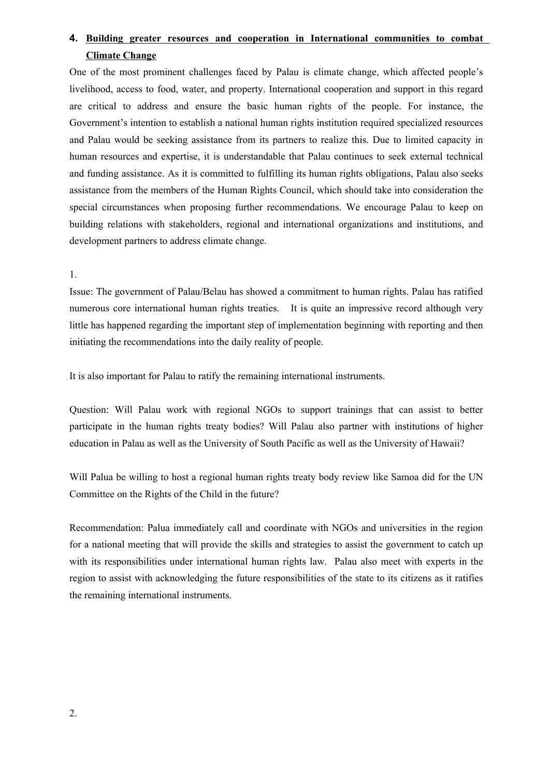## **4. Building greater resources and cooperation in International communities to combat Climate Change**

One of the most prominent challenges faced by Palau is climate change, which affected people'<sup>s</sup> livelihood, access to food, water, and property. International cooperation and suppor<sup>t</sup> in this regard are critical to address and ensure the basic human rights of the people. For instance, the Government'<sup>s</sup> intention to establish <sup>a</sup> national human rights institution required specialized resources and Palau would be seeking assistance from its partners to realize this. Due to limited capacity in human resources and expertise, it is understandable that Palau continues to seek external technical and funding assistance. As it is committed to fulfilling its human rights obligations, Palau also seeks assistance from the members of the Human Rights Council, which should take into consideration the special circumstances when proposing further recommendations. We encourage Palau to keep on building relations with stakeholders, regional and international organizations and institutions, and development partners to address climate change.

1.

Issue: The governmen<sup>t</sup> of Palau/Belau has showed <sup>a</sup> commitment to human rights. Palau has ratified numerous core international human rights treaties. It is quite an impressive record although very little has happened regarding the important step of implementation beginning with reporting and then initiating the recommendations into the daily reality of people.

It is also important for Palau to ratify the remaining international instruments.

Question: Will Palau work with regional NGOs to suppor<sup>t</sup> trainings that can assist to better participate in the human rights treaty bodies? Will Palau also partner with institutions of higher education in Palau as well as the University of South Pacific as well as the University of Hawaii?

Will Palua be willing to host <sup>a</sup> regional human rights treaty body review like Samoa did for the UN Committee on the Rights of the Child in the future?

Recommendation: Palua immediately call and coordinate with NGOs and universities in the region for <sup>a</sup> national meeting that will provide the skills and strategies to assist the governmen<sup>t</sup> to catch up with its responsibilities under international human rights law. Palau also meet with experts in the region to assist with acknowledging the future responsibilities of the state to its citizens as it ratifies the remaining international instruments.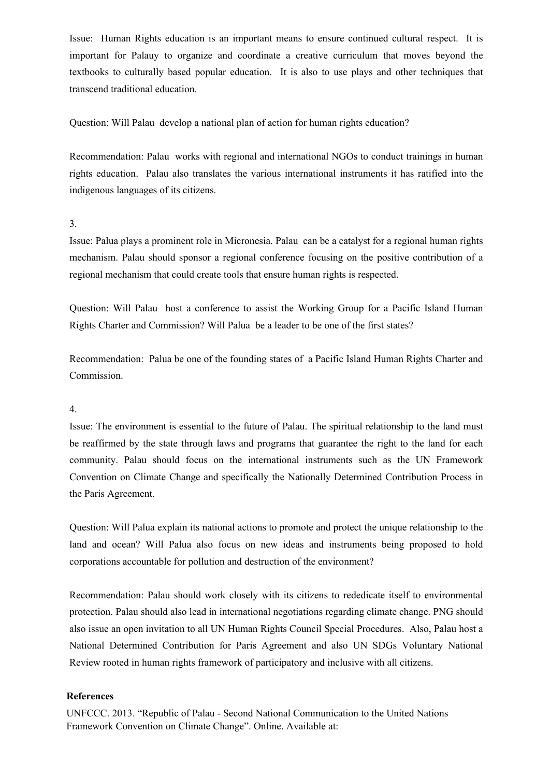Issue: Human Rights education is an important means to ensure continued cultural respect. It is important for Palauy to organize and coordinate <sup>a</sup> creative curriculum that moves beyond the textbooks to culturally based popular education. It is also to use plays and other techniques that transcend traditional education.

Question: Will Palau develop <sup>a</sup> national plan of action for human rights education?

Recommendation: Palau works with regional and international NGOs to conduct trainings in human rights education. Palau also translates the various international instruments it has ratified into the indigenous languages of its citizens.

## 3.

Issue: Palua plays <sup>a</sup> prominent role in Micronesia. Palau can be <sup>a</sup> catalyst for <sup>a</sup> regional human rights mechanism. Palau should sponsor <sup>a</sup> regional conference focusing on the positive contribution of <sup>a</sup> regional mechanism that could create tools that ensure human rights is respected.

Question: Will Palau host <sup>a</sup> conference to assist the Working Group for <sup>a</sup> Pacific Island Human Rights Charter and Commission? Will Palua be <sup>a</sup> leader to be one of the first states?

Recommendation: Palua be one of the founding states of <sup>a</sup> Pacific Island Human Rights Charter and Commission.

### 4.

Issue: The environment is essential to the future of Palau. The spiritual relationship to the land must be reaffirmed by the state through laws and programs that guarantee the right to the land for each community. Palau should focus on the international instruments such as the UN Framework Convention on Climate Change and specifically the Nationally Determined Contribution Process in the Paris Agreement.

Question: Will Palua explain its national actions to promote and protect the unique relationship to the land and ocean? Will Palua also focus on new ideas and instruments being proposed to hold corporations accountable for pollution and destruction of the environment?

Recommendation: Palau should work closely with its citizens to rededicate itself to environmental protection. Palau should also lead in international negotiations regarding climate change. PNG should also issue an open invitation to all UN Human Rights Council Special Procedures. Also, Palau host <sup>a</sup> National Determined Contribution for Paris Agreement and also UN SDGs Voluntary National Review rooted in human rights framework of participatory and inclusive with all citizens.

## **References**

UNFCCC. 2013. "Republic of Palau - Second National Communication to the United Nations Framework Convention on Climate Change". Online. Available at: